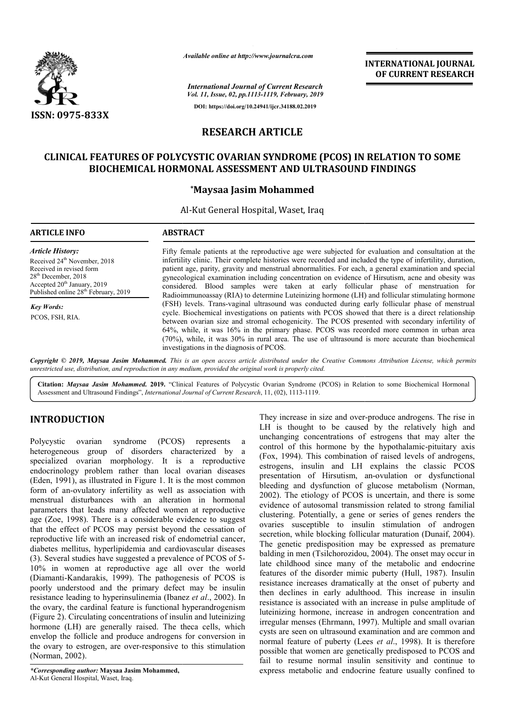

*Available online at http://www.journalcra.com*

*International Journal of Current Research Vol. 11, Issue, 02, pp.1113-1119, February, 2019* **DOI: https://doi.org/10.24941/ijcr.34188.02.2019**

**INTERNATIONAL JOURNAL OF CURRENT RESEARCH**

# **RESEARCH ARTICLE**

## **CLINICAL FEATURES OF POLYCYSTIC OVARIAN SYNDROME (PCOS) IN RELATION TO SOME OF POLYCYSTIC (PCOS) IN RELATION SSMENT BIOCHEMICAL HORMONAL ASSE ASSESSMENT AND ULTRASOUND FINDINGS**

### **\*Maysaa Jasim Mohammed**

Al Al-Kut General Hospital, Waset, Iraq

| <b>ARTICLE INFO</b>                                                                                                                                                                                              | <b>ABSTRACT</b>                                                                                                                                                                                                                                                                                                                                                                                                                                                                                                                                                                                                         |  |  |  |  |  |
|------------------------------------------------------------------------------------------------------------------------------------------------------------------------------------------------------------------|-------------------------------------------------------------------------------------------------------------------------------------------------------------------------------------------------------------------------------------------------------------------------------------------------------------------------------------------------------------------------------------------------------------------------------------------------------------------------------------------------------------------------------------------------------------------------------------------------------------------------|--|--|--|--|--|
| Article History:<br>Received 24 <sup>th</sup> November, 2018<br>Received in revised form<br>$28th$ December, 2018<br>Accepted 20 <sup>th</sup> January, 2019<br>Published online 28 <sup>th</sup> February, 2019 | Fifty female patients at the reproductive age were subjected for evaluation and consultation at the<br>infertility clinic. Their complete histories were recorded and included the type of infertility, duration,<br>patient age, parity, gravity and menstrual abnormalities. For each, a general examination and special<br>gynecological examination including concentration on evidence of Hirsutism, acne and obesity was<br>considered. Blood samples were taken at early follicular phase of menstruation for<br>Radioimmunoassay (RIA) to determine Luteinizing hormone (LH) and follicular stimulating hormone |  |  |  |  |  |
| <b>Key Words:</b><br>PCOS, FSH, RIA.                                                                                                                                                                             | (FSH) levels. Trans-vaginal ultrasound was conducted during early follicular phase of menstrual<br>cycle. Biochemical investigations on patients with PCOS showed that there is a direct relationship<br>between ovarian size and stromal echogenicity. The PCOS presented with secondary infertility of<br>64%, while, it was 16% in the primary phase. PCOS was recorded more common in urban area<br>$(70\%)$ , while, it was $30\%$ in rural area. The use of ultrasound is more accurate than biochemical<br>investigations in the diagnosis of PCOS.                                                              |  |  |  |  |  |

Copyright © 2019, Maysaa Jasim Mohammed. This is an open access article distributed under the Creative Commons Attribution License, which permits *unrestricted use, distribution, and reproduction in any medium, provided the original work is properly cited.*

Citation: Maysaa Jasim Mohammed. 2019. "Clinical Features of Polycystic Ovarian Syndrome (PCOS) in Relation to some Biochemical Hormonal Assessment and Ultrasound Findings", *International Journal of Current Research* , 11, (02), 1113-1119.

## **INTRODUCTION**

Polycystic ovarian syndrome (PCOS) represents a heterogeneous group of disorders characterized by a specialized ovarian morphology. It is a reproductive endocrinology problem rather than local ovarian diseases (Eden, 1991), as illustrated in Figure 1. It is the most common form of an-ovulatory infertility as well as association with menstrual disturbances with an alteration in hormonal parameters that leads many affected women at reproductive age (Zoe, 1998). There is a considerable evidence to suggest that the effect of PCOS may persist beyond the cessation of reproductive life with an increased risk of endometrial cancer, diabetes mellitus, hyperlipidemia and cardiovascular diseases (3). Several studies have suggested a prevalence of PCOS of 5 10% in women at reproductive age all over the world (Diamanti-Kandarakis, 1999). The pathogenesis of PCOS is poorly understood and the primary defect may be insulin (Diamanti-Kandarakis, 1999). The pathogenesis of PCOS is poorly understood and the primary defect may be insulin resistance leading to hyperinsulinemia (Ibanez *et al.*, 2002). In the ovary, the cardinal feature is functional hyperandrogenism (Figure 2). Circulating concentrations of insulin and luteinizing hormone (LH) are generally raised. The theca cells, which envelop the follicle and produce androgens for conversion in the ovary to estrogen, are over-responsive to this stimulation (Norman, 2002). ), as illustrated in Figure 1. It is the most common<br>ovulatory infertility as well as association with<br>disturbances with an alteration in hormonal<br>that leads many affected women at reproductive<br>998). There is a considerabl **ITRODUCTION**<br>
IDENTION They increase in size and over<br>
by guystic ovarian syndrome (PCOS) represents a unchanging concentrations of<br>
terogeneous group of disorders characterized by a control of this hormon by<br>
ceitailed

*\*Corresponding author:* **Maysaa Jasim Mohammed,** Al-Kut General Hospital, Waset, Iraq.

LH is thought to be caused by the relatively high and LH is thought to be caused by the relatively high and unchanging concentrations of estrogens that may alter the control of this hormone by the hypothalamic-pituitary axis (Fox, 1994). This combination of raised levels of androgens, estrogens, insulin and LH explains the classic PCOS presentation of Hirsutism, an-ovulation or dysfunctional bleeding and dysfunction of glucose metabolism ( (Norman, 2002). The etiology of PCOS is uncertain, and there is some evidence of autosomal transmission related to strong familial clustering. Potentially, a gene or series of genes renders the ovaries susceptible to insulin stimulation of androgen secretion, while blocking follicular maturation (Dunaif, 2004). The genetic predisposition may be expressed as premature balding in men (Tsilchorozidou, 2004). The onset may occur in late childhood since many of the metabolic and endocrine features of the disorder mimic puberty (Hull, 1987). Insulin resistance increases dramatically at the onset of puberty and then declines in early adulthood. This increase in insulin resistance is associated with an increase in pulse amplitude of luteinizing hormone, increase in androgen concentration and resistance increases dramatically at the onset of puberty and then declines in early adulthood. This increase in insulin resistance is associated with an increase in pulse amplitude of luteinizing hormone, increase in andr cysts are seen on ultrasound examination and are common and cysts are seen on ultrasound examination and are common and normal feature of puberty (Lees *et al.*, 1998). It is therefore possible that women are genetically predisposed to PCOS and fail to resume normal insulin sensitivity and continue to express metabolic and endocrine feature usually confined to They increase in size and over-produce androgens. The rise in ). This combination of raised levels of androgens, insulin and LH explains the classic PCOS n of Hirsutism, an-ovulation or dysfunctional 2002). The etiology of PCOS is uncertain, and there is some evidence of autosomal transmission related to strong familial clustering. Potentially, a gene or series of genes renders the ovaries susceptible to insulin stimul **EXERVATIONAL JOURNAL THOMAL JOURNAL FORMAL FORMAL FORMAL CONSUMPARTS (FORMAL CONSUMPARTS (FORMAL CONSUMPARTS)**<br> **CONSUMPARTS (FORMAL CONSUMPARTS)**<br> **ARTICLIE**<br> **SYNDROME (PCOS) IN RELATION TO SOME ENTRAL SYNDROME (PCOS)**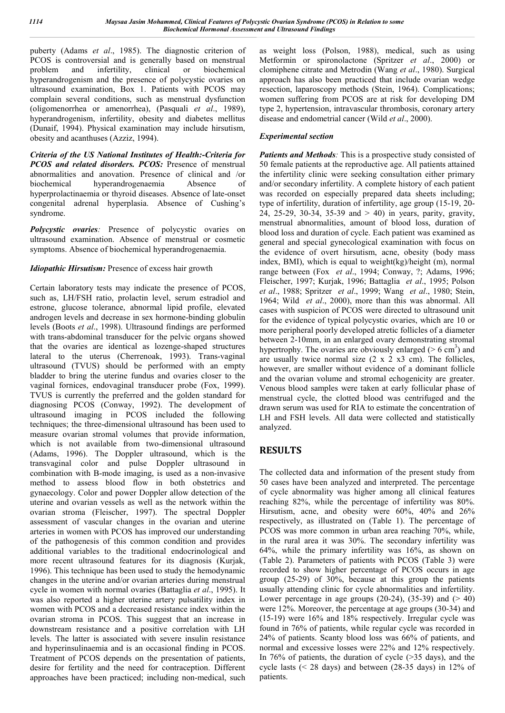puberty (Adams *et al*., 1985). The diagnostic criterion of PCOS is controversial and is generally based on menstrual problem and infertility, clinical or biochemical hyperandrogenism and the presence of polycystic ovaries on ultrasound examination, Box 1. Patients with PCOS may complain several conditions, such as menstrual dysfunction (oligomenorrhea or amenorrhea), (Pasquali *et al*., 1989), hyperandrogenism, infertility, obesity and diabetes mellitus (Dunaif, 1994). Physical examination may include hirsutism, obesity and acanthuses (Azziz, 1994).

*Criteria of the US National Institutes of Health:-Criteria for PCOS and related disorders. PCOS:* Presence of menstrual abnormalities and anovation. Presence of clinical and /or biochemical hyperandrogenaemia Absence of hyperprolactinaemia or thyroid diseases. Absence of late-onset congenital adrenal hyperplasia. Absence of Cushing's syndrome.

*Polycystic ovaries:* Presence of polycystic ovaries on ultrasound examination. Absence of menstrual or cosmetic symptoms. Absence of biochemical hyperandrogenaemia.

#### *Idiopathic Hirsutism:* Presence of excess hair growth

Certain laboratory tests may indicate the presence of PCOS, such as, LH/FSH ratio, prolactin level, serum estradiol and estrone, glucose tolerance, abnormal lipid profile, elevated androgen levels and decrease in sex hormone-binding globulin levels (Boots *et al*., 1998). Ultrasound findings are performed with trans-abdominal transducer for the pelvic organs showed that the ovaries are identical as lozenge-shaped structures lateral to the uterus (Cherrenoak, 1993). Trans-vaginal ultrasound (TVUS) should be performed with an empty bladder to bring the uterine fundus and ovaries closer to the vaginal fornices, endovaginal transducer probe (Fox, 1999). TVUS is currently the preferred and the golden standard for diagnosing PCOS (Conway, 1992). The development of ultrasound imaging in PCOS included the following techniques; the three-dimensional ultrasound has been used to measure ovarian stromal volumes that provide information, which is not available from two-dimensional ultrasound (Adams, 1996). The Doppler ultrasound, which is the transvaginal color and pulse Doppler ultrasound in combination with B-mode imaging, is used as a non-invasive method to assess blood flow in both obstetrics and gynaecology. Color and power Doppler allow detection of the uterine and ovarian vessels as well as the network within the ovarian stroma (Fleischer, 1997). The spectral Doppler assessment of vascular changes in the ovarian and uterine arteries in women with PCOS has improved our understanding of the pathogenesis of this common condition and provides additional variables to the traditional endocrinological and more recent ultrasound features for its diagnosis (Kurjak, 1996). This technique has been used to study the hemodynamic changes in the uterine and/or ovarian arteries during menstrual cycle in women with normal ovaries (Battaglia *et al*., 1995). It was also reported a higher uterine artery pulsatility index in women with PCOS and a decreased resistance index within the ovarian stroma in PCOS. This suggest that an increase in downstream resistance and a positive correlation with LH levels. The latter is associated with severe insulin resistance and hyperinsulinaemia and is an occasional finding in PCOS. Treatment of PCOS depends on the presentation of patients, desire for fertility and the need for contraception. Different approaches have been practiced; including non-medical, such as weight loss (Polson, 1988), medical, such as using Metformin or spironolactone (Spritzer *et al*., 2000) or clomiphene citrate and Metrodin (Wang *et al*., 1980). Surgical approach has also been practiced that include ovarian wedge resection, laparoscopy methods (Stein, 1964). Complications; women suffering from PCOS are at risk for developing DM type 2, hypertension, intravascular thrombosis, coronary artery disease and endometrial cancer (Wild *et al*., 2000).

### *Experimental section*

*Patients and Methods:* This is a prospective study consisted of 50 female patients at the reproductive age. All patients attained the infertility clinic were seeking consultation either primary and/or secondary infertility. A complete history of each patient was recorded on especially prepared data sheets including; type of infertility, duration of infertility, age group (15-19, 20- 24, 25-29, 30-34, 35-39 and > 40) in years, parity, gravity, menstrual abnormalities, amount of blood loss, duration of blood loss and duration of cycle. Each patient was examined as general and special gynecological examination with focus on the evidence of overt hirsutism, acne, obesity (body mass index, BMI), which is equal to weight(kg)/height (m), normal range between (Fox *et al*., 1994; Conway, ?; Adams, 1996; Fleischer, 1997; Kurjak, 1996; Battaglia *et al*., 1995; Polson *et al*., 1988; Spritzer *et al*., 1999; Wang *et al*., 1980; Stein, 1964; Wild *et al*., 2000), more than this was abnormal. All cases with suspicion of PCOS were directed to ultrasound unit for the evidence of typical polycystic ovaries, which are 10 or more peripheral poorly developed atretic follicles of a diameter between 2-10mm, in an enlarged ovary demonstrating stromal hypertrophy. The ovaries are obviously enlarged ( $> 6 \text{ cm}^3$ ) and are usually twice normal size  $(2 \times 2 \times 3 \text{ cm})$ . The follicles, however, are smaller without evidence of a dominant follicle and the ovarian volume and stromal echogenicity are greater. Venous blood samples were taken at early follicular phase of menstrual cycle, the clotted blood was centrifuged and the drawn serum was used for RIA to estimate the concentration of LH and FSH levels. All data were collected and statistically analyzed.

## **RESULTS**

The collected data and information of the present study from 50 cases have been analyzed and interpreted. The percentage of cycle abnormality was higher among all clinical features reaching 82%, while the percentage of infertility was 80%. Hirsutism, acne, and obesity were 60%, 40% and 26% respectively, as illustrated on (Table 1). The percentage of PCOS was more common in urban area reaching 70%, while, in the rural area it was 30%. The secondary infertility was 64%, while the primary infertility was 16%, as shown on (Table 2). Parameters of patients with PCOS (Table 3) were recorded to show higher percentage of PCOS occurs in age group (25-29) of 30%, because at this group the patients usually attending clinic for cycle abnormalities and infertility. Lower percentage in age groups  $(20-24)$ ,  $(35-39)$  and  $(>40)$ were 12%. Moreover, the percentage at age groups (30-34) and (15-19) were 16% and 18% respectively. Irregular cycle was found in 76% of patients, while regular cycle was recorded in 24% of patients. Scanty blood loss was 66% of patients, and normal and excessive losses were 22% and 12% respectively. In  $76\%$  of patients, the duration of cycle ( $>35$  days), and the cycle lasts ( $\leq$  28 days) and between (28-35 days) in 12% of patients.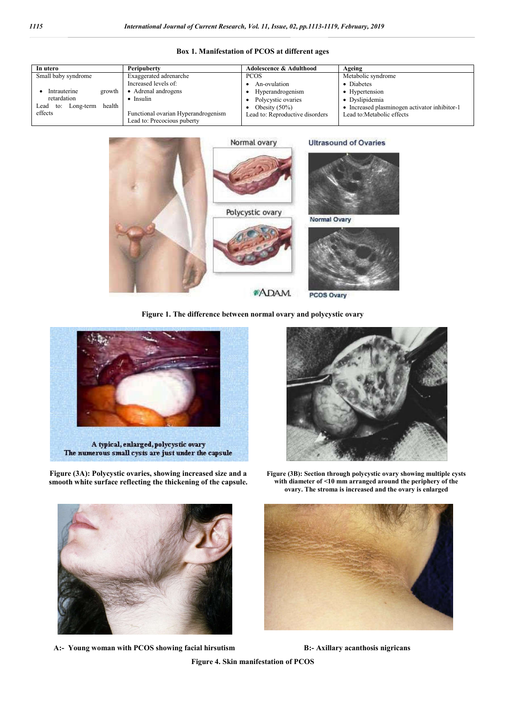| In utero                                                                               | <b>Peripuberty</b>                                                                                          | <b>Adolescence &amp; Adulthood</b>                                                            | Ageing                                                                                                          |
|----------------------------------------------------------------------------------------|-------------------------------------------------------------------------------------------------------------|-----------------------------------------------------------------------------------------------|-----------------------------------------------------------------------------------------------------------------|
| Small baby syndrome                                                                    | Exaggerated adrenarche<br>Increased levels of:                                                              | <b>PCOS</b><br>An-ovulation                                                                   | Metabolic syndrome<br>• Diabetes                                                                                |
| growth<br>Intrauterine<br>retardation<br>health<br>Long-term<br>Lead<br>to:<br>effects | • Adrenal androgens<br><b>Insulin</b><br>Functional ovarian Hyperandrogenism<br>Lead to: Precocious puberty | Hyperandrogenism<br>Polycystic ovaries<br>Obesity $(50\%)$<br>Lead to: Reproductive disorders | • Hypertension<br>• Dyslipidemia<br>• Increased plasminogen activator inhibitor-1<br>Lead to: Metabolic effects |

#### **Box 1. Manifestation of PCOS at different ages**



**Figure 1. The difference between normal ovary and polycystic ovary**



**Figure (3A): Polycystic ovaries, showing increased size and a smooth white surface reflecting the thickening of the capsule.**





**A:- Young woman with PCOS showing facial hirsutism B:- Axillary acanthosis nigricans**

**Figure (3B): Section through polycystic ovary showing multiple cysts with diameter of ˂10 mm arranged around the periphery of the ovary. The stroma is increased and the ovary is enlarged**



**Figure 4. Skin manifestation of PCOS**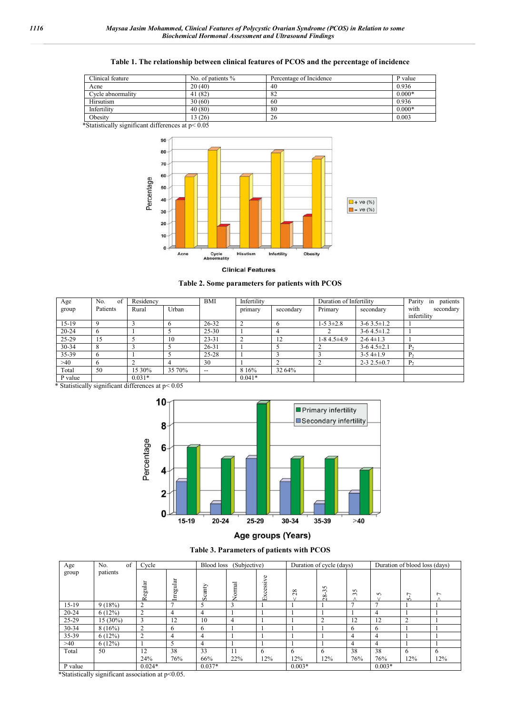#### **Table 1. The relationship between clinical features of PCOS and the percentage of incidence**

| Clinical feature  | No. of patients % | Percentage of Incidence | P value  |
|-------------------|-------------------|-------------------------|----------|
| Acne              | 20(40)            | 40                      | 0.936    |
| Cycle abnormality | 41 (82)           | 82                      | $0.000*$ |
| Hirsutism         | 30(60)            | 60                      | 0.936    |
| Infertility       | 40 (80)           | 80                      | $0.000*$ |
| Obesity           | 13(26)            | 26                      | 0.003    |

\*Statistically significant differences at p˂ 0.05



**Clinical Features** 

**Table 2. Some parameters for patients with PCOS**

| Age       | No.<br>Ωt  | Residency |                | <b>BMI</b> | Infertility |           | Duration of Infertility |                    | Parity<br>patients<br>1n |
|-----------|------------|-----------|----------------|------------|-------------|-----------|-------------------------|--------------------|--------------------------|
| group     | Patients   | Rural     | Urban          |            | primary     | secondary | Primary                 | secondary          | with<br>secondary        |
|           |            |           |                |            |             |           |                         |                    | infertility              |
| $15-19$   |            |           | $\sigma$       | $26 - 32$  |             |           | $1-5.3 \pm 2.8$         | $3-63.5\pm1.2$     |                          |
| $20 - 24$ | o          |           |                | 25-30      |             | 4         |                         | $3-64.5\pm1.2$     |                          |
| 25-29     | 15         |           | 10             | $23 - 31$  |             |           | $1-84.5+4.9$            | $2 - 64 \pm 1.3$   |                          |
| 30-34     |            |           |                | $26 - 31$  |             |           |                         | $3-64.5\pm2.1$     | P <sub>2</sub>           |
| 35-39     | $\epsilon$ |           |                | 25-28      |             |           |                         | $3-54\pm1.9$       | P <sub>2</sub>           |
| >40       | h          |           | $\overline{4}$ | 30         |             |           |                         | $2 - 32.5 \pm 0.7$ | P <sub>2</sub>           |
| Total     | 50         | 15 30%    | 35 70%         | $- -$      | 8 1 6 %     | 32 64%    |                         |                    |                          |
| P value   |            | $0.031*$  |                |            | $0.041*$    |           |                         |                    |                          |

\* Statistically significant differences at p˂ 0.05



#### Age groups (Years)

**Table 3. Parameters of patients with PCOS**

| Age       | of<br>No.  | Cycle         |                       | Blood loss     | (Subjective) |              | Duration of cycle (days)             |                                   |                  | Duration of blood loss (days) |              |     |
|-----------|------------|---------------|-----------------------|----------------|--------------|--------------|--------------------------------------|-----------------------------------|------------------|-------------------------------|--------------|-----|
| group     | patients   | Regular       | gular<br>$\circ$<br>토 | anty<br>ల<br>Ω | ಸ<br>Ξ<br>Ş  | Excessive    | ${}^{\circ}$<br>$\tilde{\mathbf{C}}$ | S<br>$\sim$<br>$\infty$<br>$\sim$ | $\sim$<br>$\sim$ | $\sim$                        | ↽<br>S.      | ∼   |
| $15-19$   | 9(18%)     | C             | -                     | 5              | 3            |              |                                      |                                   |                  |                               |              |     |
| $20 - 24$ | 6(12%)     | $\mathcal{D}$ |                       | $\overline{4}$ |              |              |                                      |                                   |                  |                               |              |     |
| 25-29     | $15(30\%)$ | 3             | 12                    | 10             | 4            |              |                                      | ◠                                 | 12               | 12                            | ◠            |     |
| 30-34     | 8(16%)     | 2             | 6                     | 6              |              |              |                                      |                                   | 6                | 6                             |              |     |
| 35-39     | 6(12%)     | ↑             |                       | 4              |              |              |                                      |                                   | 4                |                               |              |     |
| >40       | 6(12%)     |               |                       | 4              |              |              |                                      |                                   | 4                | 4                             |              |     |
| Total     | 50         | 12            | 38                    | 33             | 11           | <sub>t</sub> | $\sigma$                             | <sub>0</sub>                      | 38               | 38                            | <sub>t</sub> | 6   |
|           |            | 24%           | 76%                   | 66%            | 22%          | 12%          | 12%                                  | 12%                               | 76%              | 76%                           | 12%          | 12% |
| P value   |            | $0.024*$      |                       | $0.037*$       |              |              | $0.003*$                             |                                   |                  | $0.003*$                      |              |     |

\*Statistically significant association at p˂0.05.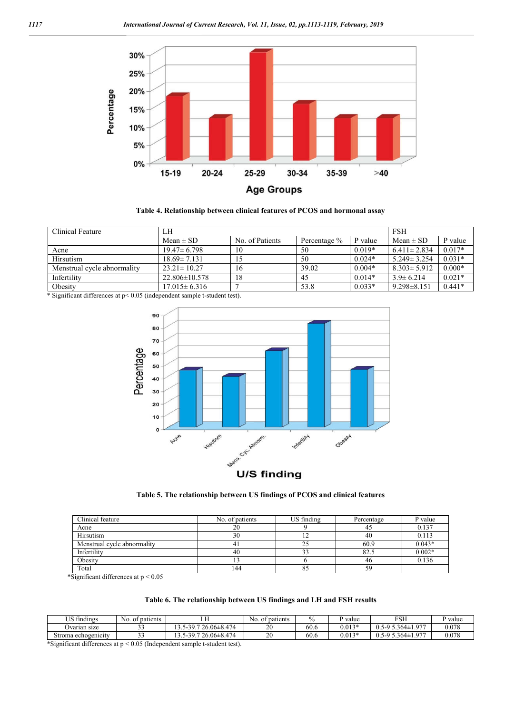

**Table 4. Relationship between clinical features of PCOS and hormonal assay**

| Clinical Feature            | LΗ                  |                 | <b>FSH</b>   |          |                   |          |
|-----------------------------|---------------------|-----------------|--------------|----------|-------------------|----------|
|                             | Mean $\pm$ SD       | No. of Patients | Percentage % | P value  | Mean $\pm$ SD     | P value  |
| Acne                        | $19.47 \pm 6.798$   | 10              | 50           | $0.019*$ | $6.411 \pm 2.834$ | $0.017*$ |
| Hirsutism                   | $18.69 \pm 7.131$   |                 | 50           | $0.024*$ | $5.249 \pm 3.254$ | $0.031*$ |
| Menstrual cycle abnormality | $23.21 \pm 10.27$   | 16              | 39.02        | $0.004*$ | $8.303 \pm 5.912$ | $0.000*$ |
| Infertility                 | $22.806 \pm 10.578$ | 18              | 45           | $0.014*$ | $3.9 \pm 6.214$   | $0.021*$ |
| Obesity                     | $17.015 \pm 6.316$  |                 | 53.8         | $0.033*$ | $9.298 \pm 8.151$ | $0.441*$ |

\* Significant differences at p˂ 0.05 (independent sample t-student test).



**Table 5. The relationship between US findings of PCOS and clinical features**

| Clinical feature            | No. of patients | US finding | Percentage | P value  |
|-----------------------------|-----------------|------------|------------|----------|
| Acne                        | 20              |            |            | 0.137    |
| Hirsutism                   | 30              |            | 40         | 0.113    |
| Menstrual cycle abnormality | 4               | 25         | 60.9       | $0.043*$ |
| Infertility                 | 40              | 32         | 82.5       | $0.002*$ |
| Obesity                     |                 |            | 46         | 0.136    |
| Total                       | 44ء             | 85         |            |          |

\*Significant differences at  $p < 0.05$ 

| Table 6. The relationship between US findings and LH and FSH results |  |  |  |  |  |  |  |  |  |
|----------------------------------------------------------------------|--|--|--|--|--|--|--|--|--|
|----------------------------------------------------------------------|--|--|--|--|--|--|--|--|--|

| $T$ TC $\mathcal{L}$ .<br>$\cdots$<br>findings<br>ഄഄ | No.<br>of patients | ⊷                                                        | patients<br>$\sim$<br>NO. | $\frac{0}{0}$ | value    | <b>FSH</b>                                                                      | $\mathbf{r}$<br>value |  |
|------------------------------------------------------|--------------------|----------------------------------------------------------|---------------------------|---------------|----------|---------------------------------------------------------------------------------|-----------------------|--|
| Jvarian size                                         | <b>. .</b><br>--   | $26.06 \pm 8.474$<br>30<br>$\sim$<br>$\overline{ }$<br>` | $\sim$<br>∠∪              | 60.6          | $0.013*$ | 077<br>$5.364 \pm 1$<br>$\sim$ $\Omega$ $\in$<br>$\overline{\phantom{a}}$<br>ັ້ | 0.078                 |  |
| Stroma echogenicity                                  | <b>. .</b><br>--   | $0.06 \pm 8.474$<br>30<br>-<br>٠.                        | $\sim$<br>∠∪              | 60.6          | $0.013*$ | 977<br>$3.364 \pm 1$<br>$\sim 9$ $\sim$<br>ັ້                                   | 0.078                 |  |
| $\sim$ $\sim$                                        |                    |                                                          |                           |               |          |                                                                                 |                       |  |

\*Significant differences at p ˂ 0.05 (Independent sample t-student test).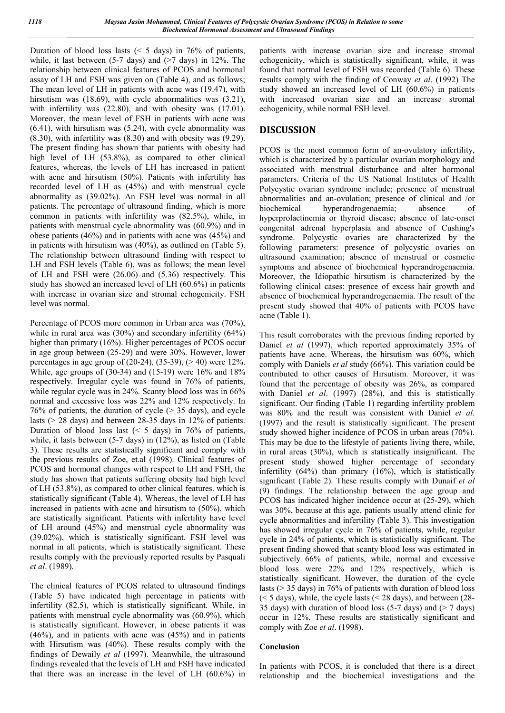Duration of blood loss lasts ( $\leq$  5 days) in 76% of patients, while, it last between  $(5-7 \text{ days})$  and  $(27 \text{ days})$  in 12%. The relationship between clinical features of PCOS and hormonal assay of LH and FSH was given on (Table 4), and as follows; The mean level of LH in patients with acne was (19.47), with hirsutism was (18.69), with cycle abnormalities was (3.21), with infertility was (22.80), and with obesity was (17.01). Moreover, the mean level of FSH in patients with acne was (6.41), with hirsutism was (5.24), with cycle abnormality was (8.30), with infertility was (8.30) and with obesity was (9.29). The present finding has shown that patients with obesity had high level of LH (53.8%), as compared to other clinical features, whereas, the levels of LH has increased in patient with acne and hirsutism (50%). Patients with infertility has recorded level of LH as (45%) and with menstrual cycle abnormality as (39.02%). An FSH level was normal in all patients. The percentage of ultrasound finding, which is more common in patients with infertility was (82.5%), while, in patients with menstrual cycle abnormality was (60.9%) and in obese patients (46%) and in patients with acne was (45%) and in patients with hirsutism was (40%), as outlined on (Table 5). The relationship between ultrasound finding with respect to LH and FSH levels (Table 6), was as follows; the mean level of LH and FSH were (26.06) and (5.36) respectively. This study has showed an increased level of LH (60.6%) in patients with increase in ovarian size and stromal echogenicity. FSH level was normal.

Percentage of PCOS more common in Urban area was (70%), while in rural area was (30%) and secondary infertility (64%) higher than primary (16%). Higher percentages of PCOS occur in age group between (25-29) and were 30%. However, lower percentages in age group of  $(20-24)$ ,  $(35-39)$ ,  $(>40)$  were 12%. While, age groups of (30-34) and (15-19) were 16% and 18% respectively. Irregular cycle was found in 76% of patients, while regular cycle was in 24%. Scanty blood loss was in 66% normal and excessive loss was 22% and 12% respectively. In 76% of patients, the duration of cycle  $($  > 35 days), and cycle lasts ( $> 28$  days) and between 28-35 days in 12% of patients. Duration of blood loss last  $(5 \text{ days})$  in 76% of patients, while, it lasts between (5-7 days) in (12%), as listed on (Table 3). These results are statistically significant and comply with the previous results of Zoe, et.al (1998). Clinical features of PCOS and hormonal changes with respect to LH and FSH, the study has shown that patients suffering obesity had high level of LH (53.8%), as compared to other clinical features. which is statistically significant (Table 4). Whereas, the level of LH has increased in patients with acne and hirsutism to (50%), which are statistically significant. Patients with infertility have level of LH around (45%) and menstrual cycle abnormality was (39.02%), which is statistically significant. FSH level was normal in all patients, which is statistically significant. These results comply with the previously reported results by Pasquali *et al*. (1989).

The clinical features of PCOS related to ultrasound findings (Table 5) have indicated high percentage in patients with infertility (82.5), which is statistically significant. While, in patients with menstrual cycle abnormality was (60.9%), which is statistically significant. However, in obese patients it was (46%), and in patients with acne was (45%) and in patients with Hirsutism was (40%). These results comply with the findings of Dewaily *et al* (1997). Meanwhile, the ultrasound findings revealed that the levels of LH and FSH have indicated that there was an increase in the level of LH (60.6%) in

patients with increase ovarian size and increase stromal echogenicity, which is statistically significant, while, it was found that normal level of FSH was recorded (Table 6). These results comply with the finding of Conway *et al*. (1992) The study showed an increased level of LH (60.6%) in patients with increased ovarian size and an increase stromal echogenicity, while normal FSH level.

## **DISCUSSION**

PCOS is the most common form of an-ovulatory infertility, which is characterized by a particular ovarian morphology and associated with menstrual disturbance and alter hormonal parameters. Criteria of the US National Institutes of Health Polycystic ovarian syndrome include; presence of menstrual abnormalities and an-ovulation; presence of clinical and /or biochemical hyperandrogenaemia; absence of hyperprolactinemia or thyroid disease; absence of late-onset congenital adrenal hyperplasia and absence of Cushing's syndrome. Polycystic ovaries are characterized by the following parameters: presence of polycystic ovaries on ultrasound examination; absence of menstrual or cosmetic symptoms and absence of biochemical hyperandrogenaemia. Moreover, the Idiopathic hirsutism is characterized by the following clinical cases: presence of excess hair growth and absence of biochemical hyperandrogenaemia. The result of the present study showed that 40% of patients with PCOS have acne (Table 1).

This result corroborates with the previous finding reported by Daniel *et al* (1997), which reported approximately 35% of patients have acne. Whereas, the hirsutism was 60%, which comply with Daniels *et al* study (66%). This variation could be contributed to other causes of Hirsutism. Moreover, it was found that the percentage of obesity was 26%, as compared with Daniel *et al*. (1997) (28%), and this is statistically significant. Our finding (Table 1) regarding infertility problem was 80% and the result was consistent with Daniel *et al*. (1997) and the result is statistically significant. The present study showed higher incidence of PCOS in urban areas (70%). This may be due to the lifestyle of patients living there, while, in rural areas (30%), which is statistically insignificant. The present study showed higher percentage of secondary infertility (64%) than primary (16%), which is statistically significant (Table 2). These results comply with Dunaif *et al* (9) findings. The relationship between the age group and PCOS has indicated higher incidence occur at (25-29), which was 30%, because at this age, patients usually attend clinic for cycle abnormalities and infertility (Table 3). This investigation has showed irregular cycle in 76% of patients, while, regular cycle in 24% of patients, which is statistically significant. The present finding showed that scanty blood loss was estimated in subjectively 66% of patients, while, normal and excessive blood loss were 22% and 12% respectively, which is statistically significant. However, the duration of the cycle lasts ( $>$  35 days) in 76% of patients with duration of blood loss  $(< 5$  days), while, the cycle lasts  $(< 28$  days), and between (28-35 days) with duration of blood loss  $(5-7 \text{ days})$  and  $(5-7 \text{ days})$ occur in 12%. These results are statistically significant and comply with Zoe *et al*. (1998).

### **Conclusion**

In patients with PCOS, it is concluded that there is a direct relationship and the biochemical investigations and the